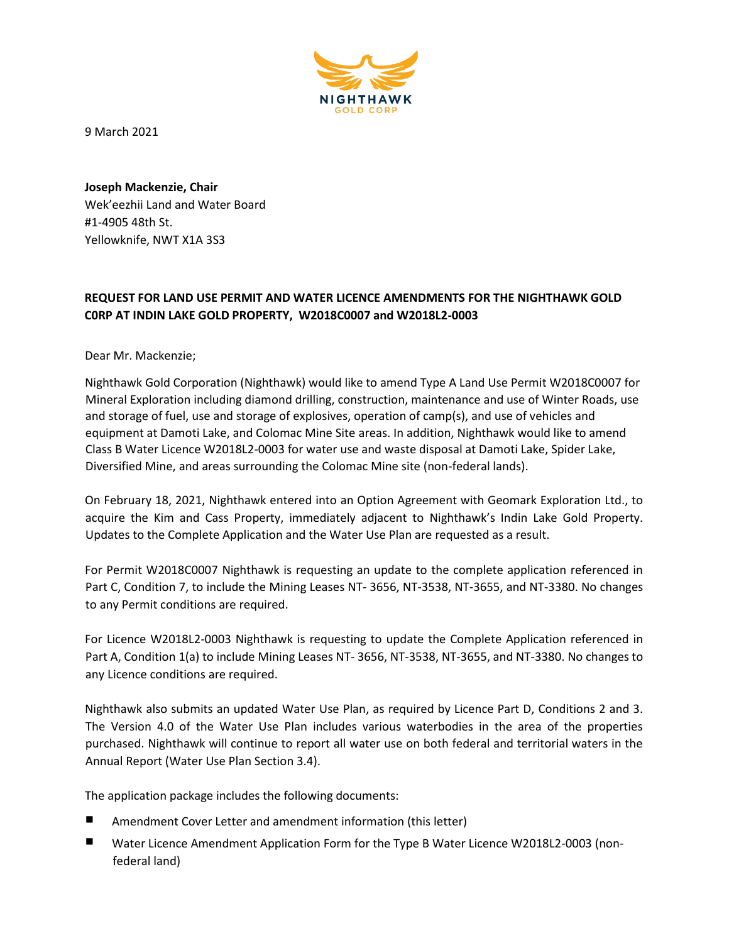

9 March 2021

**Joseph Mackenzie, Chair**  Wek'eezhii Land and Water Board #1-4905 48th St. Yellowknife, NWT X1A 3S3

## **REQUEST FOR LAND USE PERMIT AND WATER LICENCE AMENDMENTS FOR THE NIGHTHAWK GOLD C0RP AT INDIN LAKE GOLD PROPERTY, W2018C0007 and W2018L2-0003**

Dear Mr. Mackenzie;

Nighthawk Gold Corporation (Nighthawk) would like to amend Type A Land Use Permit W2018C0007 for Mineral Exploration including diamond drilling, construction, maintenance and use of Winter Roads, use and storage of fuel, use and storage of explosives, operation of camp(s), and use of vehicles and equipment at Damoti Lake, and Colomac Mine Site areas. In addition, Nighthawk would like to amend Class B Water Licence W2018L2-0003 for water use and waste disposal at Damoti Lake, Spider Lake, Diversified Mine, and areas surrounding the Colomac Mine site (non-federal lands).

On February 18, 2021, Nighthawk entered into an Option Agreement with Geomark Exploration Ltd., to acquire the Kim and Cass Property, immediately adjacent to Nighthawk's Indin Lake Gold Property. Updates to the Complete Application and the Water Use Plan are requested as a result.

For Permit W2018C0007 Nighthawk is requesting an update to the complete application referenced in Part C, Condition 7, to include the Mining Leases NT- 3656, NT-3538, NT-3655, and NT-3380. No changes to any Permit conditions are required.

For Licence W2018L2-0003 Nighthawk is requesting to update the Complete Application referenced in Part A, Condition 1(a) to include Mining Leases NT- 3656, NT-3538, NT-3655, and NT-3380. No changes to any Licence conditions are required.

Nighthawk also submits an updated Water Use Plan, as required by Licence Part D, Conditions 2 and 3. The Version 4.0 of the Water Use Plan includes various waterbodies in the area of the properties purchased. Nighthawk will continue to report all water use on both federal and territorial waters in the Annual Report (Water Use Plan Section 3.4).

The application package includes the following documents:

- Amendment Cover Letter and amendment information (this letter)
- Water Licence Amendment Application Form for the Type B Water Licence W2018L2-0003 (nonfederal land)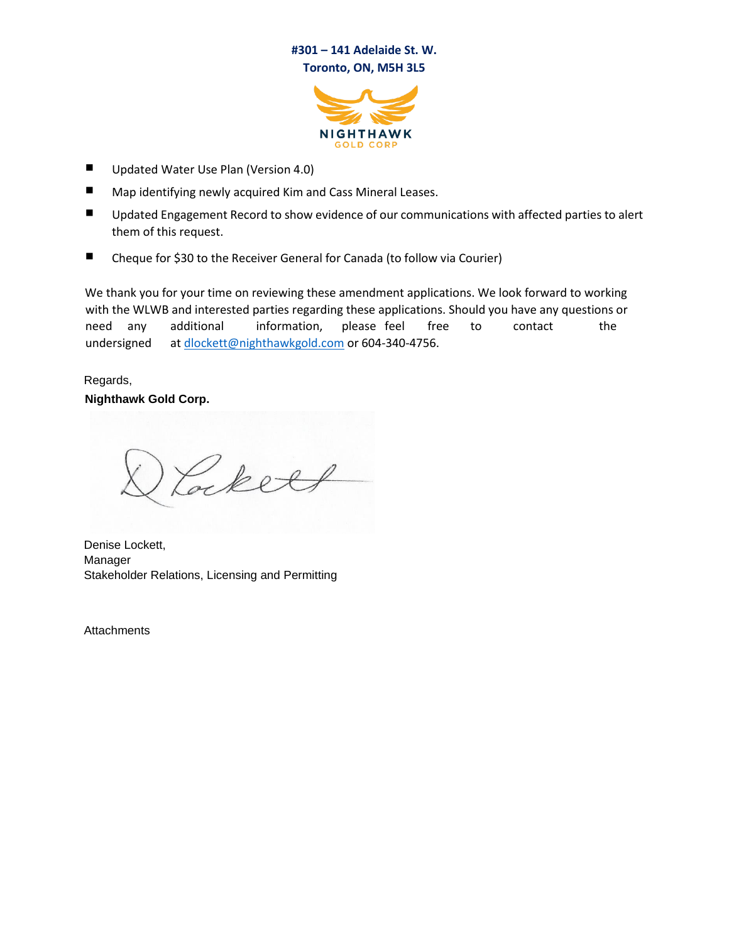## **#301 – 141 Adelaide St. W. Toronto, ON, M5H 3L5**



- Updated Water Use Plan (Version 4.0)
- Map identifying newly acquired Kim and Cass Mineral Leases.
- Updated Engagement Record to show evidence of our communications with affected parties to alert them of this request.
- Cheque for \$30 to the Receiver General for Canada (to follow via Courier)

We thank you for your time on reviewing these amendment applications. We look forward to working with the WLWB and interested parties regarding these applications. Should you have any questions or need any additional information, please feel free to contact the undersigned at dlockett@nighthawkgold.com or 604-340-4756.

Regards, **Nighthawk Gold Corp.** 

Cockett

Denise Lockett, Manager Stakeholder Relations, Licensing and Permitting

Attachments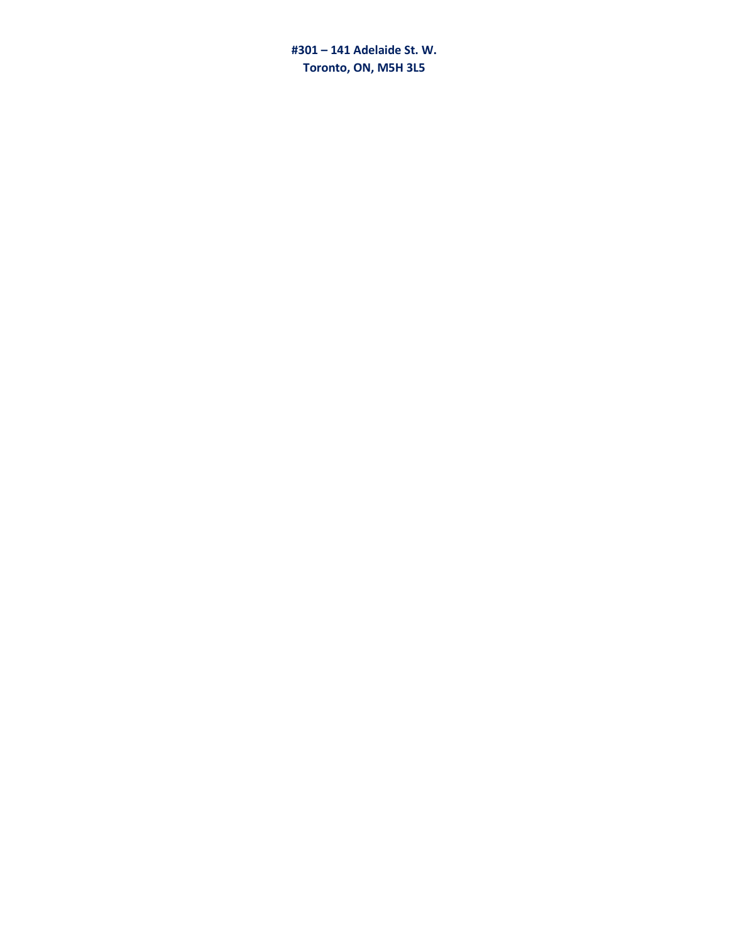#301 - 141 Adelaide St. W. Toronto, ON, M5H 3L5